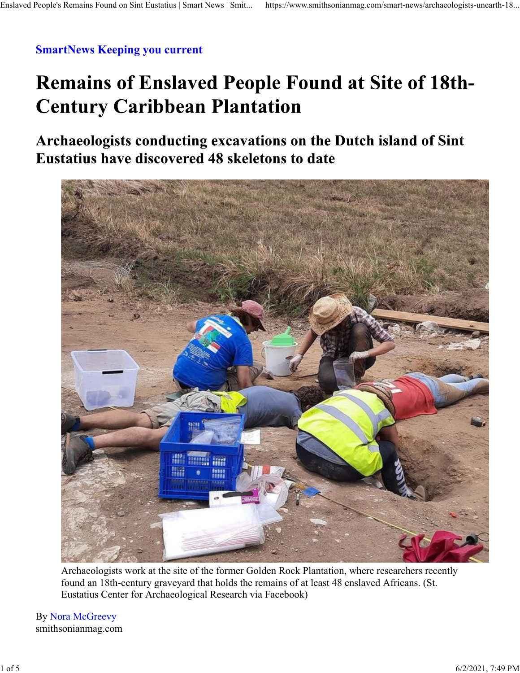## **SmartNews Keeping you current**

## **Remains of Enslaved People Found at Site of 18th-Century Caribbean Plantation**

Archaeologists conducting excavations on the Dutch island of Sint **Eustatius have discovered 48 skeletons to date** 



Archaeologists work at the site of the former Golden Rock Plantation, where researchers recently found an 18th-century graveyard that holds the remains of at least 48 enslaved Africans. (St. Eustatius Center for Archaeological Research via Facebook)

By Nora McGreevy smithsonianmag.com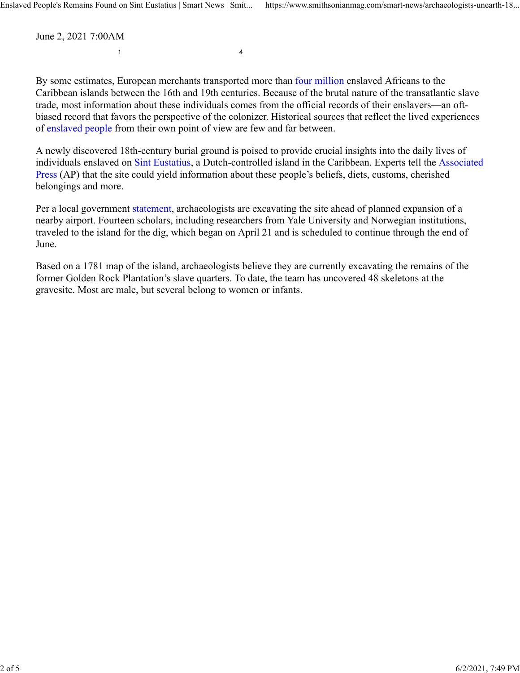June 2, 2021 7:00AM

1 4

By some estimates, European merchants transported more than four million enslaved Africans to the Caribbean islands between the 16th and 19th centuries. Because of the brutal nature of the transatlantic slave trade, most information about these individuals comes from the official records of their enslavers—an oftbiased record that favors the perspective of the colonizer. Historical sources that reflect the lived experiences of enslaved people from their own point of view are few and far between.

A newly discovered 18th-century burial ground is poised to provide crucial insights into the daily lives of individuals enslaved on Sint Eustatius, a Dutch-controlled island in the Caribbean. Experts tell the Associated Press (AP) that the site could yield information about these people's beliefs, diets, customs, cherished belongings and more.

Per a local government statement, archaeologists are excavating the site ahead of planned expansion of a nearby airport. Fourteen scholars, including researchers from Yale University and Norwegian institutions, traveled to the island for the dig, which began on April 21 and is scheduled to continue through the end of June.

Based on a 1781 map of the island, archaeologists believe they are currently excavating the remains of the former Golden Rock Plantation's slave quarters. To date, the team has uncovered 48 skeletons at the gravesite. Most are male, but several belong to women or infants.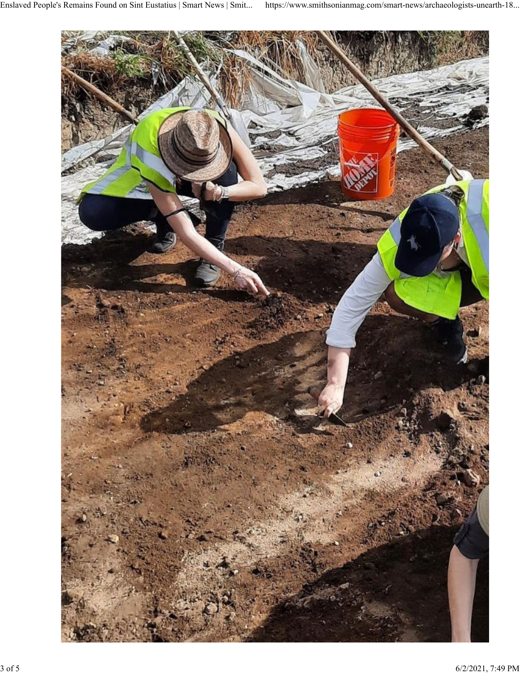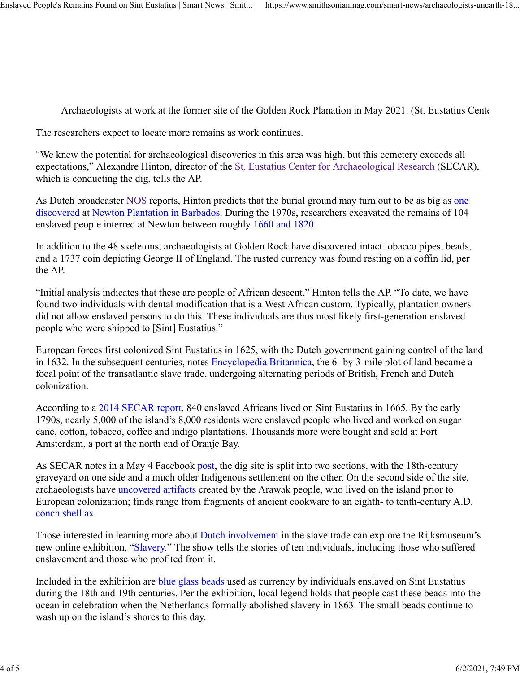Archaeologists at work at the former site of the Golden Rock Planation in May 2021. (St. Eustatius Cente

The researchers expect to locate more remains as work continues.

"We knew the potential for archaeological discoveries in this area was high, but this cemetery exceeds all expectations," Alexandre Hinton, director of the St. Eustatius Center for Archaeological Research (SECAR), which is conducting the dig, tells the AP.

As Dutch broadcaster NOS reports, Hinton predicts that the burial ground may turn out to be as big as one discovered at Newton Plantation in Barbados. During the 1970s, researchers excavated the remains of 104 enslaved people interred at Newton between roughly 1660 and 1820.

In addition to the 48 skeletons, archaeologists at Golden Rock have discovered intact tobacco pipes, beads, and a 1737 coin depicting George II of England. The rusted currency was found resting on a coffin lid, per the AP.

"Initial analysis indicates that these are people of African descent," Hinton tells the AP. "To date, we have found two individuals with dental modification that is a West African custom. Typically, plantation owners did not allow enslaved persons to do this. These individuals are thus most likely first-generation enslaved people who were shipped to [Sint] Eustatius."

European forces first colonized Sint Eustatius in 1625, with the Dutch government gaining control of the land in 1632. In the subsequent centuries, notes Encyclopedia Britannica, the 6- by 3-mile plot of land became a focal point of the transatlantic slave trade, undergoing alternating periods of British, French and Dutch colonization.

According to a 2014 SECAR report, 840 enslaved Africans lived on Sint Eustatius in 1665. By the early 1790s, nearly 5,000 of the island's 8,000 residents were enslaved people who lived and worked on sugar cane, cotton, tobacco, coffee and indigo plantations. Thousands more were bought and sold at Fort Amsterdam, a port at the north end of Oranje Bay.

As SECAR notes in a May 4 Facebook post, the dig site is split into two sections, with the 18th-century graveyard on one side and a much older Indigenous settlement on the other. On the second side of the site, archaeologists have uncovered artifacts created by the Arawak people, who lived on the island prior to European colonization; finds range from fragments of ancient cookware to an eighth- to tenth-century A.D. conch shell ax.

Those interested in learning more about Dutch involvement in the slave trade can explore the Rijksmuseum's new online exhibition, "Slavery." The show tells the stories of ten individuals, including those who suffered enslavement and those who profited from it.

Included in the exhibition are blue glass beads used as currency by individuals enslaved on Sint Eustatius during the 18th and 19th centuries. Per the exhibition, local legend holds that people cast these beads into the ocean in celebration when the Netherlands formally abolished slavery in 1863. The small beads continue to wash up on the island's shores to this day.